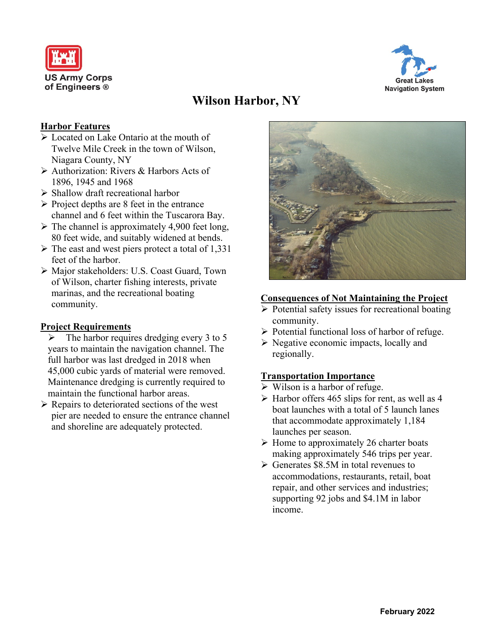



# **Wilson Harbor, NY**

### **Harbor Features**

- ➢ Located on Lake Ontario at the mouth of Twelve Mile Creek in the town of Wilson, Niagara County, NY
- ➢ Authorization: Rivers & Harbors Acts of 1896, 1945 and 1968
- ➢ Shallow draft recreational harbor
- ➢ Project depths are 8 feet in the entrance channel and 6 feet within the Tuscarora Bay.
- $\triangleright$  The channel is approximately 4,900 feet long, 80 feet wide, and suitably widened at bends.
- ➢ The east and west piers protect a total of 1,331 feet of the harbor.
- ➢ Major stakeholders: U.S. Coast Guard, Town of Wilson, charter fishing interests, private marinas, and the recreational boating community.

#### **Project Requirements**

- $\triangleright$  The harbor requires dredging every 3 to 5 years to maintain the navigation channel. The full harbor was last dredged in 2018 when 45,000 cubic yards of material were removed. Maintenance dredging is currently required to maintain the functional harbor areas.
- ➢ Repairs to deteriorated sections of the west pier are needed to ensure the entrance channel and shoreline are adequately protected.



#### **Consequences of Not Maintaining the Project**

- ➢ Potential safety issues for recreational boating community.
- ➢ Potential functional loss of harbor of refuge.
- ➢ Negative economic impacts, locally and regionally.

## **Transportation Importance**

- $\triangleright$  Wilson is a harbor of refuge.
- $\triangleright$  Harbor offers 465 slips for rent, as well as 4 boat launches with a total of 5 launch lanes that accommodate approximately 1,184 launches per season.
- $\triangleright$  Home to approximately 26 charter boats making approximately 546 trips per year.
- ➢ Generates \$8.5M in total revenues to accommodations, restaurants, retail, boat repair, and other services and industries; supporting 92 jobs and \$4.1M in labor income.